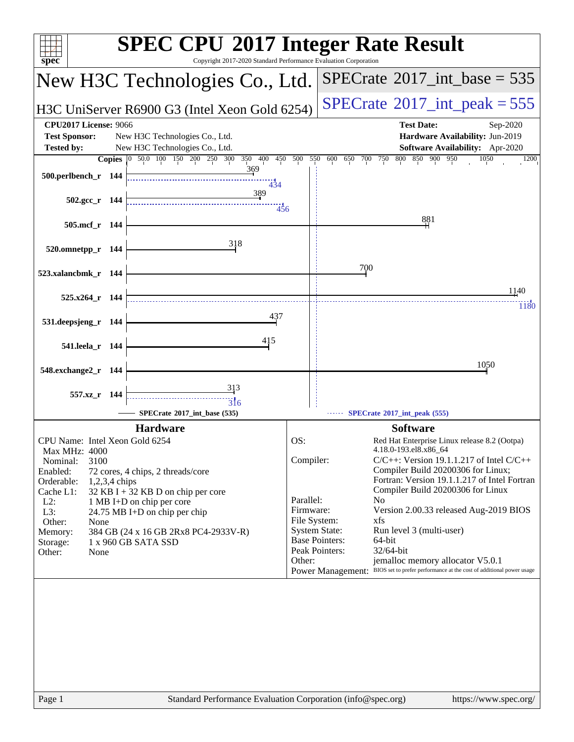| $spec^*$                                                                  | <b>SPEC CPU®2017 Integer Rate Result</b><br>Copyright 2017-2020 Standard Performance Evaluation Corporation |                                               |                                                                                                                                      |  |  |  |  |  |
|---------------------------------------------------------------------------|-------------------------------------------------------------------------------------------------------------|-----------------------------------------------|--------------------------------------------------------------------------------------------------------------------------------------|--|--|--|--|--|
|                                                                           | New H3C Technologies Co., Ltd.                                                                              |                                               | $SPECrate^{\circ}2017\_int\_base = 535$                                                                                              |  |  |  |  |  |
|                                                                           | $SPECTate$ <sup>®</sup> 2017_int_peak = 555<br>H3C UniServer R6900 G3 (Intel Xeon Gold 6254)                |                                               |                                                                                                                                      |  |  |  |  |  |
| <b>CPU2017 License: 9066</b><br><b>Test Sponsor:</b><br><b>Tested by:</b> | New H3C Technologies Co., Ltd.<br>New H3C Technologies Co., Ltd.                                            |                                               | <b>Test Date:</b><br>Sep-2020<br>Hardware Availability: Jun-2019<br>Software Availability: Apr-2020                                  |  |  |  |  |  |
| <b>Copies</b>                                                             | 50.0 100 150 200 250 300<br>350<br>400<br>450<br>$ 0\rangle$                                                | 500<br>550                                    | 600<br>800<br>850 900 950<br>650<br>700<br>750<br>1050<br>1200                                                                       |  |  |  |  |  |
| 500.perlbench_r 144                                                       | 369<br>434                                                                                                  |                                               |                                                                                                                                      |  |  |  |  |  |
| 502.gcc_r 144                                                             | 389<br>456                                                                                                  |                                               |                                                                                                                                      |  |  |  |  |  |
| 505.mcf_r 144                                                             |                                                                                                             |                                               | 881                                                                                                                                  |  |  |  |  |  |
| 520.omnetpp_r 144                                                         | 318                                                                                                         |                                               |                                                                                                                                      |  |  |  |  |  |
| 523.xalancbmk_r 144                                                       |                                                                                                             |                                               | 700                                                                                                                                  |  |  |  |  |  |
| $525.x264$ r 144                                                          |                                                                                                             |                                               | 1140                                                                                                                                 |  |  |  |  |  |
|                                                                           | 437                                                                                                         |                                               | 1180                                                                                                                                 |  |  |  |  |  |
| 531.deepsjeng_r 144                                                       |                                                                                                             |                                               |                                                                                                                                      |  |  |  |  |  |
| 541.leela_r 144                                                           | 415                                                                                                         |                                               |                                                                                                                                      |  |  |  |  |  |
| 548.exchange2_r 144                                                       |                                                                                                             |                                               | 1050                                                                                                                                 |  |  |  |  |  |
| 557.xz_r 144                                                              | 313                                                                                                         |                                               |                                                                                                                                      |  |  |  |  |  |
|                                                                           | 316<br>SPECrate*2017_int_base (535)                                                                         |                                               | SPECrate*2017_int_peak (555)                                                                                                         |  |  |  |  |  |
|                                                                           | <b>Hardware</b>                                                                                             |                                               | <b>Software</b>                                                                                                                      |  |  |  |  |  |
| CPU Name: Intel Xeon Gold 6254                                            |                                                                                                             | OS:                                           | Red Hat Enterprise Linux release 8.2 (Ootpa)                                                                                         |  |  |  |  |  |
| Max MHz: 4000<br>3100<br>Nominal:                                         |                                                                                                             | Compiler:                                     | 4.18.0-193.el8.x86 64<br>$C/C++$ : Version 19.1.1.217 of Intel $C/C++$                                                               |  |  |  |  |  |
| Enabled:<br>Orderable:<br>1,2,3,4 chips                                   | 72 cores, 4 chips, 2 threads/core                                                                           |                                               | Compiler Build 20200306 for Linux;<br>Fortran: Version 19.1.1.217 of Intel Fortran                                                   |  |  |  |  |  |
| Cache L1:                                                                 | 32 KB I + 32 KB D on chip per core                                                                          |                                               | Compiler Build 20200306 for Linux                                                                                                    |  |  |  |  |  |
| $L2$ :<br>L3:                                                             | 1 MB I+D on chip per core<br>24.75 MB I+D on chip per chip                                                  | Parallel:<br>Firmware:                        | N <sub>0</sub><br>Version 2.00.33 released Aug-2019 BIOS                                                                             |  |  |  |  |  |
| Other:<br>None                                                            |                                                                                                             | File System:                                  | xfs                                                                                                                                  |  |  |  |  |  |
| Memory:<br>Storage:                                                       | 384 GB (24 x 16 GB 2Rx8 PC4-2933V-R)<br>1 x 960 GB SATA SSD                                                 | <b>System State:</b><br><b>Base Pointers:</b> | Run level 3 (multi-user)<br>64-bit                                                                                                   |  |  |  |  |  |
| Other:<br>None                                                            |                                                                                                             | Peak Pointers:                                | 32/64-bit                                                                                                                            |  |  |  |  |  |
|                                                                           |                                                                                                             | Other:                                        | jemalloc memory allocator V5.0.1<br>BIOS set to prefer performance at the cost of additional power usage<br><b>Power Management:</b> |  |  |  |  |  |
|                                                                           |                                                                                                             |                                               |                                                                                                                                      |  |  |  |  |  |
| Page 1                                                                    | Standard Performance Evaluation Corporation (info@spec.org)                                                 |                                               | https://www.spec.org/                                                                                                                |  |  |  |  |  |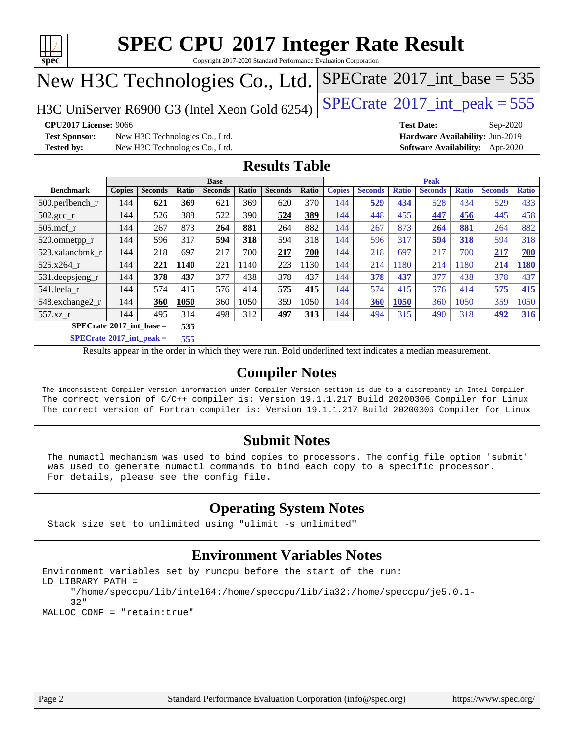

Copyright 2017-2020 Standard Performance Evaluation Corporation

## New H3C Technologies Co., Ltd.

H3C UniServer R6900 G3 (Intel Xeon Gold 6254) [SPECrate](http://www.spec.org/auto/cpu2017/Docs/result-fields.html#SPECrate2017intpeak)® [2017\\_int\\_peak = 5](http://www.spec.org/auto/cpu2017/Docs/result-fields.html#SPECrate2017intpeak)55

**[Test Sponsor:](http://www.spec.org/auto/cpu2017/Docs/result-fields.html#TestSponsor)** New H3C Technologies Co., Ltd. **[Hardware Availability:](http://www.spec.org/auto/cpu2017/Docs/result-fields.html#HardwareAvailability)** Jun-2019 **[Tested by:](http://www.spec.org/auto/cpu2017/Docs/result-fields.html#Testedby)** New H3C Technologies Co., Ltd. **[Software Availability:](http://www.spec.org/auto/cpu2017/Docs/result-fields.html#SoftwareAvailability)** Apr-2020

**[CPU2017 License:](http://www.spec.org/auto/cpu2017/Docs/result-fields.html#CPU2017License)** 9066 **[Test Date:](http://www.spec.org/auto/cpu2017/Docs/result-fields.html#TestDate)** Sep-2020

 $SPECTate$ <sup>®</sup>[2017\\_int\\_base =](http://www.spec.org/auto/cpu2017/Docs/result-fields.html#SPECrate2017intbase) 535

### **[Results Table](http://www.spec.org/auto/cpu2017/Docs/result-fields.html#ResultsTable)**

|                                          | <b>Base</b>   |                |              |                |       |                | <b>Peak</b> |               |                |              |                |              |                |              |
|------------------------------------------|---------------|----------------|--------------|----------------|-------|----------------|-------------|---------------|----------------|--------------|----------------|--------------|----------------|--------------|
| <b>Benchmark</b>                         | <b>Copies</b> | <b>Seconds</b> | <b>Ratio</b> | <b>Seconds</b> | Ratio | <b>Seconds</b> | Ratio       | <b>Copies</b> | <b>Seconds</b> | <b>Ratio</b> | <b>Seconds</b> | <b>Ratio</b> | <b>Seconds</b> | <b>Ratio</b> |
| $500.$ perlbench_r                       | 144           | 621            | 369          | 621            | 369   | 620            | 370         | 144           | 529            | 434          | 528            | 434          | 529            | 433          |
| 502.gcc_r                                | 144           | 526            | 388          | 522            | 390   | 524            | 389         | 144           | 448            | 455          | 447            | 456          | 445            | 458          |
| $505$ .mcf r                             | 144           | 267            | 873          | 264            | 881   | 264            | 882         | 144           | 267            | 873          | 264            | 881          | 264            | 882          |
| 520.omnetpp_r                            | 144           | 596            | 317          | 594            | 318   | 594            | 318         | 144           | 596            | 317          | 594            | 318          | 594            | 318          |
| 523.xalancbmk r                          | 144           | 218            | 697          | 217            | 700   | 217            | 700         | 144           | 218            | 697          | 217            | 700          | 217            | 700          |
| 525.x264 r                               | 144           | 221            | 1140         | 221            | 140   | 223            | 130         | 144           | 214            | 180          | 214            | 180          | 214            | 1180         |
| $531.$ deepsjeng $_r$                    | 144           | 378            | 437          | 377            | 438   | 378            | 437         | 144           | 378            | 437          | 377            | 438          | 378            | 437          |
| 541.leela r                              | 144           | 574            | 415          | 576            | 414   | 575            | 415         | 144           | 574            | 415          | 576            | 414          | 575            | 415          |
| 548.exchange2_r                          | 144           | 360            | 1050         | 360            | 1050  | 359            | 1050        | 144           | 360            | 1050         | 360            | 1050         | 359            | 1050         |
| 557.xz                                   | 144           | 495            | 314          | 498            | 312   | 497            | 313         | 144           | 494            | 315          | 490            | 318          | 492            | <u>316</u>   |
| $SPECrate^{\circ}2017$ int base =<br>535 |               |                |              |                |       |                |             |               |                |              |                |              |                |              |
| $CDEQ \rightarrow 0.017 \cdot 1$         |               |                | ---          |                |       |                |             |               |                |              |                |              |                |              |

**[SPECrate](http://www.spec.org/auto/cpu2017/Docs/result-fields.html#SPECrate2017intpeak)[2017\\_int\\_peak =](http://www.spec.org/auto/cpu2017/Docs/result-fields.html#SPECrate2017intpeak) 555**

Results appear in the [order in which they were run](http://www.spec.org/auto/cpu2017/Docs/result-fields.html#RunOrder). Bold underlined text [indicates a median measurement](http://www.spec.org/auto/cpu2017/Docs/result-fields.html#Median).

### **[Compiler Notes](http://www.spec.org/auto/cpu2017/Docs/result-fields.html#CompilerNotes)**

The inconsistent Compiler version information under Compiler Version section is due to a discrepancy in Intel Compiler. The correct version of C/C++ compiler is: Version 19.1.1.217 Build 20200306 Compiler for Linux The correct version of Fortran compiler is: Version 19.1.1.217 Build 20200306 Compiler for Linux

### **[Submit Notes](http://www.spec.org/auto/cpu2017/Docs/result-fields.html#SubmitNotes)**

 The numactl mechanism was used to bind copies to processors. The config file option 'submit' was used to generate numactl commands to bind each copy to a specific processor. For details, please see the config file.

### **[Operating System Notes](http://www.spec.org/auto/cpu2017/Docs/result-fields.html#OperatingSystemNotes)**

Stack size set to unlimited using "ulimit -s unlimited"

### **[Environment Variables Notes](http://www.spec.org/auto/cpu2017/Docs/result-fields.html#EnvironmentVariablesNotes)**

```
Environment variables set by runcpu before the start of the run:
LD_LIBRARY_PATH =
      "/home/speccpu/lib/intel64:/home/speccpu/lib/ia32:/home/speccpu/je5.0.1-
      32"
MALLOC_CONF = "retain:true"
```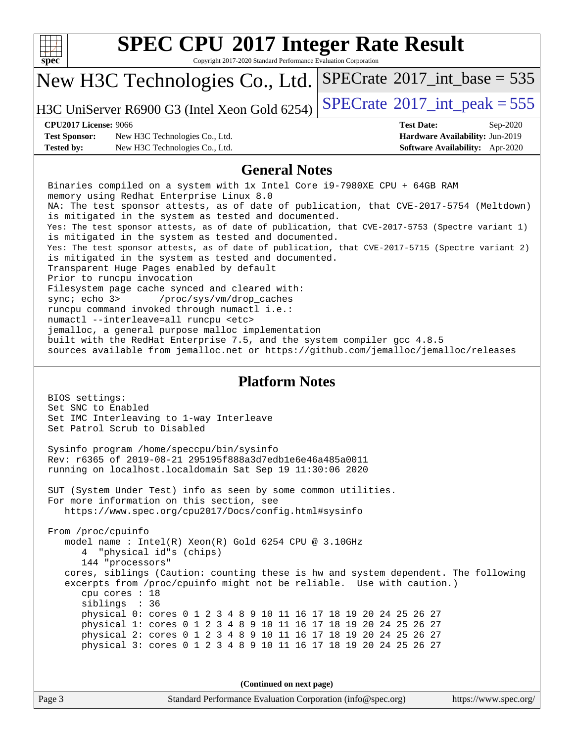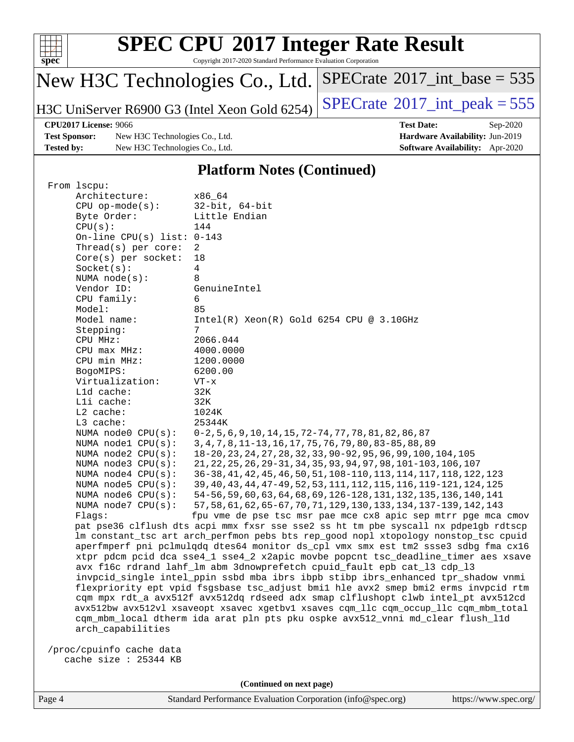

Copyright 2017-2020 Standard Performance Evaluation Corporation

## New H3C Technologies Co., Ltd.

H3C UniServer R6900 G3 (Intel Xeon Gold 6254) [SPECrate](http://www.spec.org/auto/cpu2017/Docs/result-fields.html#SPECrate2017intpeak)<sup>®</sup>[2017\\_int\\_peak = 5](http://www.spec.org/auto/cpu2017/Docs/result-fields.html#SPECrate2017intpeak)55

 $SPECrate$ <sup>®</sup>[2017\\_int\\_base =](http://www.spec.org/auto/cpu2017/Docs/result-fields.html#SPECrate2017intbase) 535

**[Test Sponsor:](http://www.spec.org/auto/cpu2017/Docs/result-fields.html#TestSponsor)** New H3C Technologies Co., Ltd. **[Hardware Availability:](http://www.spec.org/auto/cpu2017/Docs/result-fields.html#HardwareAvailability)** Jun-2019 **[Tested by:](http://www.spec.org/auto/cpu2017/Docs/result-fields.html#Testedby)** New H3C Technologies Co., Ltd. **[Software Availability:](http://www.spec.org/auto/cpu2017/Docs/result-fields.html#SoftwareAvailability)** Apr-2020

**[CPU2017 License:](http://www.spec.org/auto/cpu2017/Docs/result-fields.html#CPU2017License)** 9066 **[Test Date:](http://www.spec.org/auto/cpu2017/Docs/result-fields.html#TestDate)** Sep-2020

#### **[Platform Notes \(Continued\)](http://www.spec.org/auto/cpu2017/Docs/result-fields.html#PlatformNotes)**

| From 1scpu:                  |                                                                                      |
|------------------------------|--------------------------------------------------------------------------------------|
| Architecture:                | x86 64                                                                               |
| $CPU$ op-mode( $s$ ):        | $32$ -bit, $64$ -bit                                                                 |
| Byte Order:                  | Little Endian                                                                        |
| CPU(s):                      | 144                                                                                  |
| On-line CPU(s) list: $0-143$ |                                                                                      |
| Thread(s) per core:          | 2                                                                                    |
| $Core(s)$ per socket:        | 18                                                                                   |
| Socket(s):                   | 4                                                                                    |
| NUMA $node(s):$              | 8                                                                                    |
| Vendor ID:                   | GenuineIntel                                                                         |
| CPU family:                  | 6                                                                                    |
| Model:                       | 85                                                                                   |
| Model name:                  | $Intel(R) Xeon(R) Gold 6254 CPU @ 3.10GHz$                                           |
| Stepping:                    | 7                                                                                    |
| CPU MHz:                     | 2066.044                                                                             |
| CPU max MHz:                 | 4000.0000                                                                            |
| CPU min MHz:                 | 1200.0000                                                                            |
| BogoMIPS:                    | 6200.00                                                                              |
| Virtualization:              | $VT - x$                                                                             |
| Lld cache:                   | 32K                                                                                  |
| Lli cache:                   | 32K                                                                                  |
| $L2$ cache:                  | 1024K                                                                                |
| L3 cache:                    | 25344K                                                                               |
| NUMA node0 CPU(s):           | 0-2,5,6,9,10,14,15,72-74,77,78,81,82,86,87                                           |
| NUMA nodel CPU(s):           | 3, 4, 7, 8, 11-13, 16, 17, 75, 76, 79, 80, 83-85, 88, 89                             |
| NUMA $node2$ $CPU(s)$ :      | 18-20, 23, 24, 27, 28, 32, 33, 90-92, 95, 96, 99, 100, 104, 105                      |
| NUMA node3 CPU(s):           | 21, 22, 25, 26, 29-31, 34, 35, 93, 94, 97, 98, 101-103, 106, 107                     |
| NUMA $node4$ $CPU(s):$       | 36-38, 41, 42, 45, 46, 50, 51, 108-110, 113, 114, 117, 118, 122, 123                 |
| NUMA $node5$ $CPU(s):$       | 39, 40, 43, 44, 47-49, 52, 53, 111, 112, 115, 116, 119-121, 124, 125                 |
| NUMA node6 $CPU(s):$         | 54-56, 59, 60, 63, 64, 68, 69, 126-128, 131, 132, 135, 136, 140, 141                 |
| NUMA node7 CPU(s):           | 57, 58, 61, 62, 65-67, 70, 71, 129, 130, 133, 134, 137-139, 142, 143                 |
| Flags:                       | fpu vme de pse tsc msr pae mce cx8 apic sep mtrr pge mca cmov                        |
|                              | pat pse36 clflush dts acpi mmx fxsr sse sse2 ss ht tm pbe syscall nx pdpelgb rdtscp  |
|                              | lm constant_tsc art arch_perfmon pebs bts rep_good nopl xtopology nonstop_tsc cpuid  |
|                              | aperfmperf pni pclmulqdq dtes64 monitor ds_cpl vmx smx est tm2 ssse3 sdbg fma cx16   |
|                              | xtpr pdcm pcid dca sse4_1 sse4_2 x2apic movbe popcnt tsc_deadline_timer aes xsave    |
|                              | avx f16c rdrand lahf_lm abm 3dnowprefetch cpuid_fault epb cat_13 cdp_13              |
|                              | invpcid_single intel_ppin ssbd mba ibrs ibpb stibp ibrs_enhanced tpr_shadow vnmi     |
|                              | flexpriority ept vpid fsgsbase tsc_adjust bmil hle avx2 smep bmi2 erms invpcid rtm   |
|                              | cqm mpx rdt_a avx512f avx512dq rdseed adx smap clflushopt clwb intel_pt avx512cd     |
|                              | avx512bw avx512vl xsaveopt xsavec xgetbvl xsaves cqm_llc cqm_occup_llc cqm_mbm_total |
|                              | cqm_mbm_local dtherm ida arat pln pts pku ospke avx512_vnni md_clear flush_l1d       |
| arch_capabilities            |                                                                                      |
|                              |                                                                                      |
| /proc/cpuinfo cache data     |                                                                                      |
| cache size : 25344 KB        |                                                                                      |

**(Continued on next page)**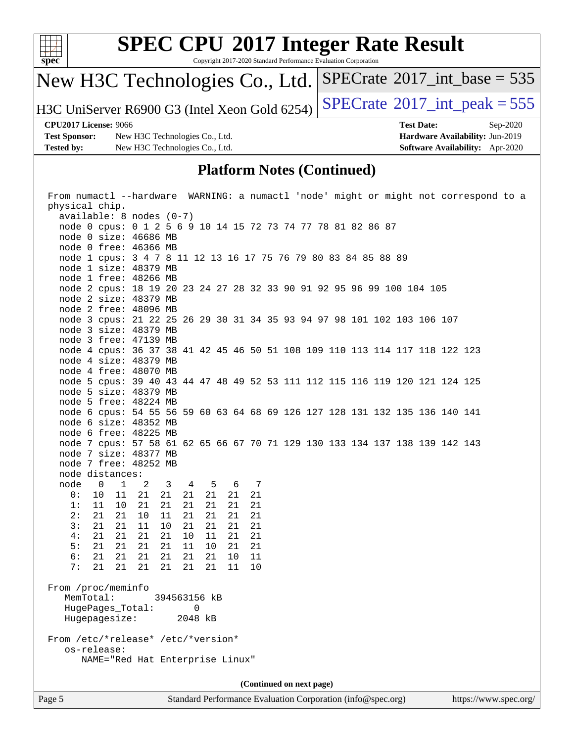

Copyright 2017-2020 Standard Performance Evaluation Corporation

## New H3C Technologies Co., Ltd.

H3C UniServer R6900 G3 (Intel Xeon Gold 6254)  $\left|$  [SPECrate](http://www.spec.org/auto/cpu2017/Docs/result-fields.html#SPECrate2017intpeak)<sup>®</sup>[2017\\_int\\_peak = 5](http://www.spec.org/auto/cpu2017/Docs/result-fields.html#SPECrate2017intpeak)55

 $SPECTate$ <sup>®</sup>[2017\\_int\\_base =](http://www.spec.org/auto/cpu2017/Docs/result-fields.html#SPECrate2017intbase) 535

**[Test Sponsor:](http://www.spec.org/auto/cpu2017/Docs/result-fields.html#TestSponsor)** New H3C Technologies Co., Ltd. **[Hardware Availability:](http://www.spec.org/auto/cpu2017/Docs/result-fields.html#HardwareAvailability)** Jun-2019 **[Tested by:](http://www.spec.org/auto/cpu2017/Docs/result-fields.html#Testedby)** New H3C Technologies Co., Ltd. **[Software Availability:](http://www.spec.org/auto/cpu2017/Docs/result-fields.html#SoftwareAvailability)** Apr-2020

**[CPU2017 License:](http://www.spec.org/auto/cpu2017/Docs/result-fields.html#CPU2017License)** 9066 **[Test Date:](http://www.spec.org/auto/cpu2017/Docs/result-fields.html#TestDate)** Sep-2020

#### **[Platform Notes \(Continued\)](http://www.spec.org/auto/cpu2017/Docs/result-fields.html#PlatformNotes)**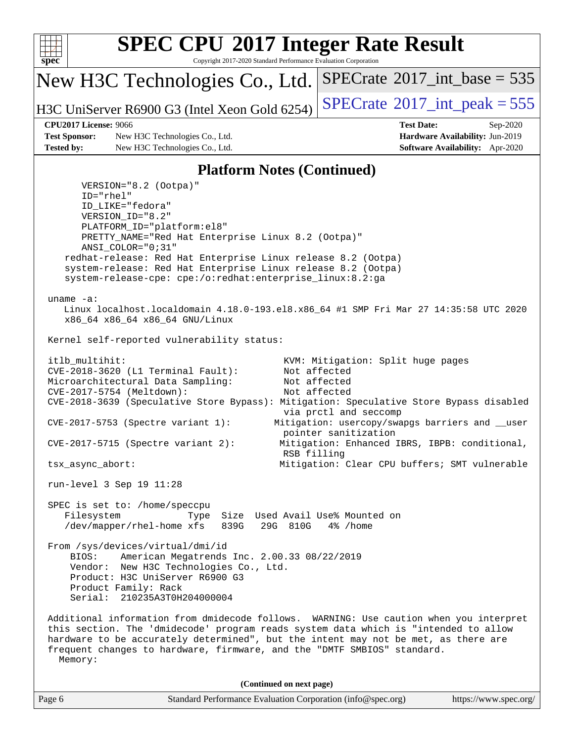

Copyright 2017-2020 Standard Performance Evaluation Corporation

New H3C Technologies Co., Ltd.

H3C UniServer R6900 G3 (Intel Xeon Gold 6254) [SPECrate](http://www.spec.org/auto/cpu2017/Docs/result-fields.html#SPECrate2017intpeak)<sup>®</sup>[2017\\_int\\_peak = 5](http://www.spec.org/auto/cpu2017/Docs/result-fields.html#SPECrate2017intpeak)55

 $SPECTate$ <sup>®</sup>[2017\\_int\\_base =](http://www.spec.org/auto/cpu2017/Docs/result-fields.html#SPECrate2017intbase) 535

**[Test Sponsor:](http://www.spec.org/auto/cpu2017/Docs/result-fields.html#TestSponsor)** New H3C Technologies Co., Ltd. **[Hardware Availability:](http://www.spec.org/auto/cpu2017/Docs/result-fields.html#HardwareAvailability)** Jun-2019 **[Tested by:](http://www.spec.org/auto/cpu2017/Docs/result-fields.html#Testedby)** New H3C Technologies Co., Ltd. **[Software Availability:](http://www.spec.org/auto/cpu2017/Docs/result-fields.html#SoftwareAvailability)** Apr-2020

**[CPU2017 License:](http://www.spec.org/auto/cpu2017/Docs/result-fields.html#CPU2017License)** 9066 **[Test Date:](http://www.spec.org/auto/cpu2017/Docs/result-fields.html#TestDate)** Sep-2020

#### **[Platform Notes \(Continued\)](http://www.spec.org/auto/cpu2017/Docs/result-fields.html#PlatformNotes)**

Page 6 Standard Performance Evaluation Corporation [\(info@spec.org\)](mailto:info@spec.org) <https://www.spec.org/> VERSION="8.2 (Ootpa)" ID="rhel" ID\_LIKE="fedora" VERSION\_ID="8.2" PLATFORM\_ID="platform:el8" PRETTY\_NAME="Red Hat Enterprise Linux 8.2 (Ootpa)" ANSI\_COLOR="0;31" redhat-release: Red Hat Enterprise Linux release 8.2 (Ootpa) system-release: Red Hat Enterprise Linux release 8.2 (Ootpa) system-release-cpe: cpe:/o:redhat:enterprise\_linux:8.2:ga uname -a: Linux localhost.localdomain 4.18.0-193.el8.x86\_64 #1 SMP Fri Mar 27 14:35:58 UTC 2020 x86\_64 x86\_64 x86\_64 GNU/Linux Kernel self-reported vulnerability status: itlb\_multihit: KVM: Mitigation: Split huge pages CVE-2018-3620 (L1 Terminal Fault): Not affected Microarchitectural Data Sampling: Not affected CVE-2017-5754 (Meltdown): Not affected CVE-2018-3639 (Speculative Store Bypass): Mitigation: Speculative Store Bypass disabled via prctl and seccomp CVE-2017-5753 (Spectre variant 1): Mitigation: usercopy/swapgs barriers and \_\_user pointer sanitization CVE-2017-5715 (Spectre variant 2): Mitigation: Enhanced IBRS, IBPB: conditional, RSB filling tsx\_async\_abort: Mitigation: Clear CPU buffers; SMT vulnerable run-level 3 Sep 19 11:28 SPEC is set to: /home/speccpu Filesystem Type Size Used Avail Use% Mounted on /dev/mapper/rhel-home xfs 839G 29G 810G 4% /home From /sys/devices/virtual/dmi/id BIOS: American Megatrends Inc. 2.00.33 08/22/2019 Vendor: New H3C Technologies Co., Ltd. Product: H3C UniServer R6900 G3 Product Family: Rack Serial: 210235A3T0H204000004 Additional information from dmidecode follows. WARNING: Use caution when you interpret this section. The 'dmidecode' program reads system data which is "intended to allow hardware to be accurately determined", but the intent may not be met, as there are frequent changes to hardware, firmware, and the "DMTF SMBIOS" standard. Memory: **(Continued on next page)**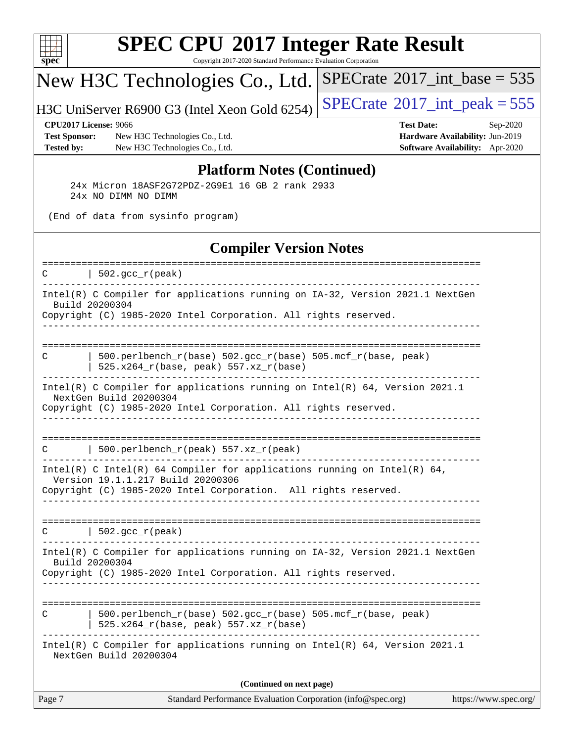

Copyright 2017-2020 Standard Performance Evaluation Corporation

## New H3C Technologies Co., Ltd.

H3C UniServer R6900 G3 (Intel Xeon Gold 6254) [SPECrate](http://www.spec.org/auto/cpu2017/Docs/result-fields.html#SPECrate2017intpeak)<sup>®</sup>[2017\\_int\\_peak = 5](http://www.spec.org/auto/cpu2017/Docs/result-fields.html#SPECrate2017intpeak)55

 $SPECrate$ <sup>®</sup>[2017\\_int\\_base =](http://www.spec.org/auto/cpu2017/Docs/result-fields.html#SPECrate2017intbase) 535

**[Test Sponsor:](http://www.spec.org/auto/cpu2017/Docs/result-fields.html#TestSponsor)** New H3C Technologies Co., Ltd. **[Hardware Availability:](http://www.spec.org/auto/cpu2017/Docs/result-fields.html#HardwareAvailability)** Jun-2019 **[Tested by:](http://www.spec.org/auto/cpu2017/Docs/result-fields.html#Testedby)** New H3C Technologies Co., Ltd. **[Software Availability:](http://www.spec.org/auto/cpu2017/Docs/result-fields.html#SoftwareAvailability)** Apr-2020

**[CPU2017 License:](http://www.spec.org/auto/cpu2017/Docs/result-fields.html#CPU2017License)** 9066 **[Test Date:](http://www.spec.org/auto/cpu2017/Docs/result-fields.html#TestDate)** Sep-2020

#### **[Platform Notes \(Continued\)](http://www.spec.org/auto/cpu2017/Docs/result-fields.html#PlatformNotes)**

 24x Micron 18ASF2G72PDZ-2G9E1 16 GB 2 rank 2933 24x NO DIMM NO DIMM

(End of data from sysinfo program)

#### **[Compiler Version Notes](http://www.spec.org/auto/cpu2017/Docs/result-fields.html#CompilerVersionNotes)**

| Intel(R) C Compiler for applications running on IA-32, Version 2021.1 NextGen<br>Build 20200304<br>Copyright (C) 1985-2020 Intel Corporation. All rights reserved.<br>---------------------------<br>500.perlbench_r(base) 502.gcc_r(base) 505.mcf_r(base, peak)<br>C<br>525.x264_r(base, peak) 557.xz_r(base)<br>Intel(R) C Compiler for applications running on $Intel(R) 64$ , Version 2021.1<br>NextGen Build 20200304<br>Copyright (C) 1985-2020 Intel Corporation. All rights reserved.<br>500.perlbench_r(peak) 557.xz_r(peak)<br>C<br>Intel(R) C Intel(R) 64 Compiler for applications running on Intel(R) 64,<br>Version 19.1.1.217 Build 20200306<br>Copyright (C) 1985-2020 Intel Corporation. All rights reserved.<br>$ 502.\mathrm{gcc\_r}(\mathrm{peak}) $<br>$\mathcal{C}$<br>Intel(R) C Compiler for applications running on IA-32, Version 2021.1 NextGen<br>Build 20200304<br>Copyright (C) 1985-2020 Intel Corporation. All rights reserved.<br>------------------------<br>$500. perlbench_r(base) 502. gcc_r(base) 505.mcf_r(base, peak)$<br>C<br>525.x264_r(base, peak) 557.xz_r(base)<br>Intel(R) C Compiler for applications running on Intel(R) 64, Version 2021.1<br>NextGen Build 20200304<br>(Continued on next page) | Page 7 | Standard Performance Evaluation Corporation (info@spec.org)<br>https://www.spec.org/ |
|---------------------------------------------------------------------------------------------------------------------------------------------------------------------------------------------------------------------------------------------------------------------------------------------------------------------------------------------------------------------------------------------------------------------------------------------------------------------------------------------------------------------------------------------------------------------------------------------------------------------------------------------------------------------------------------------------------------------------------------------------------------------------------------------------------------------------------------------------------------------------------------------------------------------------------------------------------------------------------------------------------------------------------------------------------------------------------------------------------------------------------------------------------------------------------------------------------------------------------------------------|--------|--------------------------------------------------------------------------------------|
|                                                                                                                                                                                                                                                                                                                                                                                                                                                                                                                                                                                                                                                                                                                                                                                                                                                                                                                                                                                                                                                                                                                                                                                                                                                   |        |                                                                                      |
|                                                                                                                                                                                                                                                                                                                                                                                                                                                                                                                                                                                                                                                                                                                                                                                                                                                                                                                                                                                                                                                                                                                                                                                                                                                   |        |                                                                                      |
|                                                                                                                                                                                                                                                                                                                                                                                                                                                                                                                                                                                                                                                                                                                                                                                                                                                                                                                                                                                                                                                                                                                                                                                                                                                   |        |                                                                                      |
|                                                                                                                                                                                                                                                                                                                                                                                                                                                                                                                                                                                                                                                                                                                                                                                                                                                                                                                                                                                                                                                                                                                                                                                                                                                   |        |                                                                                      |
|                                                                                                                                                                                                                                                                                                                                                                                                                                                                                                                                                                                                                                                                                                                                                                                                                                                                                                                                                                                                                                                                                                                                                                                                                                                   |        |                                                                                      |
|                                                                                                                                                                                                                                                                                                                                                                                                                                                                                                                                                                                                                                                                                                                                                                                                                                                                                                                                                                                                                                                                                                                                                                                                                                                   |        |                                                                                      |
|                                                                                                                                                                                                                                                                                                                                                                                                                                                                                                                                                                                                                                                                                                                                                                                                                                                                                                                                                                                                                                                                                                                                                                                                                                                   |        |                                                                                      |
|                                                                                                                                                                                                                                                                                                                                                                                                                                                                                                                                                                                                                                                                                                                                                                                                                                                                                                                                                                                                                                                                                                                                                                                                                                                   |        |                                                                                      |
|                                                                                                                                                                                                                                                                                                                                                                                                                                                                                                                                                                                                                                                                                                                                                                                                                                                                                                                                                                                                                                                                                                                                                                                                                                                   |        |                                                                                      |
|                                                                                                                                                                                                                                                                                                                                                                                                                                                                                                                                                                                                                                                                                                                                                                                                                                                                                                                                                                                                                                                                                                                                                                                                                                                   |        |                                                                                      |
| ====================<br>-------------------------------                                                                                                                                                                                                                                                                                                                                                                                                                                                                                                                                                                                                                                                                                                                                                                                                                                                                                                                                                                                                                                                                                                                                                                                           | C      | $\vert$ 502.gcc_r(peak)                                                              |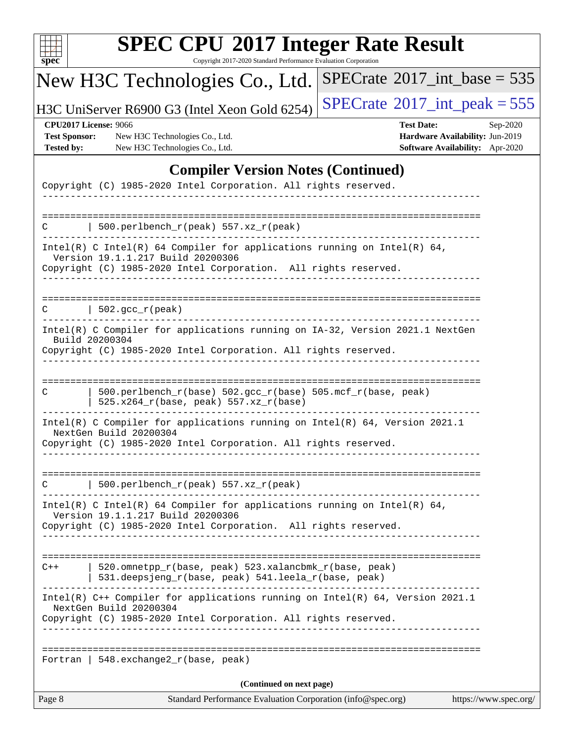| u<br>r |  |  |  |  |  |
|--------|--|--|--|--|--|

Copyright 2017-2020 Standard Performance Evaluation Corporation

## New H3C Technologies Co., Ltd.

H3C UniServer R6900 G3 (Intel Xeon Gold 6254)  $\left|$  [SPECrate](http://www.spec.org/auto/cpu2017/Docs/result-fields.html#SPECrate2017intpeak)<sup>®</sup>[2017\\_int\\_peak = 5](http://www.spec.org/auto/cpu2017/Docs/result-fields.html#SPECrate2017intpeak)55

 $SPECrate$ <sup>®</sup>[2017\\_int\\_base =](http://www.spec.org/auto/cpu2017/Docs/result-fields.html#SPECrate2017intbase) 535

**[Test Sponsor:](http://www.spec.org/auto/cpu2017/Docs/result-fields.html#TestSponsor)** New H3C Technologies Co., Ltd. **[Hardware Availability:](http://www.spec.org/auto/cpu2017/Docs/result-fields.html#HardwareAvailability)** Jun-2019 **[Tested by:](http://www.spec.org/auto/cpu2017/Docs/result-fields.html#Testedby)** New H3C Technologies Co., Ltd. **[Software Availability:](http://www.spec.org/auto/cpu2017/Docs/result-fields.html#SoftwareAvailability)** Apr-2020

**[CPU2017 License:](http://www.spec.org/auto/cpu2017/Docs/result-fields.html#CPU2017License)** 9066 **[Test Date:](http://www.spec.org/auto/cpu2017/Docs/result-fields.html#TestDate)** Sep-2020

### **[Compiler Version Notes \(Continued\)](http://www.spec.org/auto/cpu2017/Docs/result-fields.html#CompilerVersionNotes)**

| Page 8  | Standard Performance Evaluation Corporation (info@spec.org)                                                                                                                      | https://www.spec.org/ |
|---------|----------------------------------------------------------------------------------------------------------------------------------------------------------------------------------|-----------------------|
|         | (Continued on next page)                                                                                                                                                         |                       |
| Fortran | 548.exchange2_r(base, peak)                                                                                                                                                      |                       |
|         | Intel(R) $C++$ Compiler for applications running on Intel(R) 64, Version 2021.1<br>NextGen Build 20200304<br>Copyright (C) 1985-2020 Intel Corporation. All rights reserved.     |                       |
| $C++$   | 520.omnetpp_r(base, peak) 523.xalancbmk_r(base, peak)<br>531.deepsjeng_r(base, peak) 541.leela_r(base, peak)<br>------------                                                     |                       |
|         |                                                                                                                                                                                  |                       |
|         | Intel(R) C Intel(R) 64 Compiler for applications running on Intel(R) 64,<br>Version 19.1.1.217 Build 20200306<br>Copyright (C) 1985-2020 Intel Corporation. All rights reserved. |                       |
|         | 500.perlbench_r(peak) 557.xz_r(peak)                                                                                                                                             |                       |
|         | Intel(R) C Compiler for applications running on Intel(R) $64$ , Version 2021.1<br>NextGen Build 20200304<br>Copyright (C) 1985-2020 Intel Corporation. All rights reserved.      |                       |
| C       | 500.perlbench_r(base) 502.gcc_r(base) 505.mcf_r(base, peak)<br>$525.x264_r(base, peak) 557.xz_r(base)$                                                                           |                       |
|         | Intel(R) C Compiler for applications running on IA-32, Version 2021.1 NextGen<br>Build 20200304<br>Copyright (C) 1985-2020 Intel Corporation. All rights reserved.               |                       |
| C       | $502.\text{gcc\_r}(\text{peak})$                                                                                                                                                 |                       |
|         | Copyright (C) 1985-2020 Intel Corporation. All rights reserved.                                                                                                                  |                       |
|         | Intel(R) C Intel(R) 64 Compiler for applications running on Intel(R) 64,<br>Version 19.1.1.217 Build 20200306                                                                    |                       |
| C       | 500.perlbench_r(peak) 557.xz_r(peak)                                                                                                                                             |                       |
|         |                                                                                                                                                                                  |                       |
|         | $\frac{1}{2}$<br>Copyright (C) 1985-2020 Intel Corporation. All rights reserved.                                                                                                 |                       |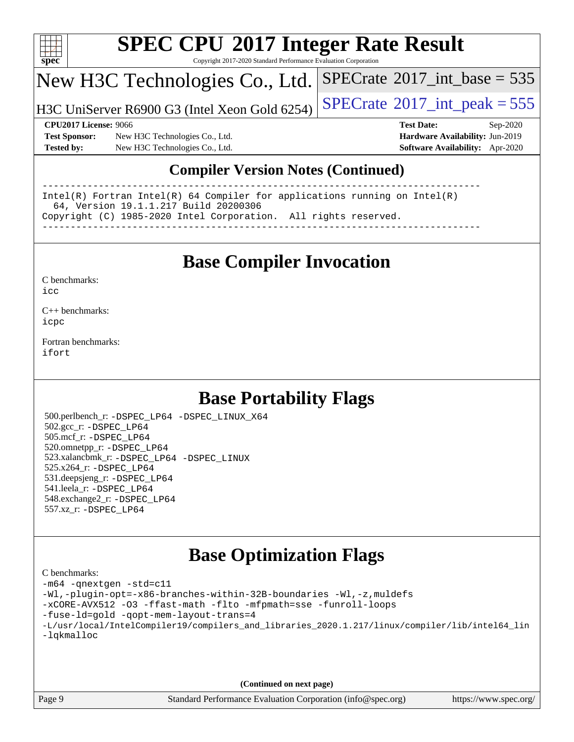

Copyright 2017-2020 Standard Performance Evaluation Corporation

## New H3C Technologies Co., Ltd.

H3C UniServer R6900 G3 (Intel Xeon Gold 6254)  $\left|$  [SPECrate](http://www.spec.org/auto/cpu2017/Docs/result-fields.html#SPECrate2017intpeak)®[2017\\_int\\_peak = 5](http://www.spec.org/auto/cpu2017/Docs/result-fields.html#SPECrate2017intpeak)55

 $SPECTate$ <sup>®</sup>[2017\\_int\\_base =](http://www.spec.org/auto/cpu2017/Docs/result-fields.html#SPECrate2017intbase) 535

**[Test Sponsor:](http://www.spec.org/auto/cpu2017/Docs/result-fields.html#TestSponsor)** New H3C Technologies Co., Ltd. **[Hardware Availability:](http://www.spec.org/auto/cpu2017/Docs/result-fields.html#HardwareAvailability)** Jun-2019 **[Tested by:](http://www.spec.org/auto/cpu2017/Docs/result-fields.html#Testedby)** New H3C Technologies Co., Ltd. **[Software Availability:](http://www.spec.org/auto/cpu2017/Docs/result-fields.html#SoftwareAvailability)** Apr-2020

**[CPU2017 License:](http://www.spec.org/auto/cpu2017/Docs/result-fields.html#CPU2017License)** 9066 **[Test Date:](http://www.spec.org/auto/cpu2017/Docs/result-fields.html#TestDate)** Sep-2020

### **[Compiler Version Notes \(Continued\)](http://www.spec.org/auto/cpu2017/Docs/result-fields.html#CompilerVersionNotes)**

------------------------------------------------------------------------------ Intel(R) Fortran Intel(R) 64 Compiler for applications running on Intel(R) 64, Version 19.1.1.217 Build 20200306 Copyright (C) 1985-2020 Intel Corporation. All rights reserved. ------------------------------------------------------------------------------

### **[Base Compiler Invocation](http://www.spec.org/auto/cpu2017/Docs/result-fields.html#BaseCompilerInvocation)**

[C benchmarks](http://www.spec.org/auto/cpu2017/Docs/result-fields.html#Cbenchmarks):  $i$ cc

[C++ benchmarks:](http://www.spec.org/auto/cpu2017/Docs/result-fields.html#CXXbenchmarks) [icpc](http://www.spec.org/cpu2017/results/res2020q4/cpu2017-20200927-24042.flags.html#user_CXXbase_intel_icpc_c510b6838c7f56d33e37e94d029a35b4a7bccf4766a728ee175e80a419847e808290a9b78be685c44ab727ea267ec2f070ec5dc83b407c0218cded6866a35d07)

[Fortran benchmarks](http://www.spec.org/auto/cpu2017/Docs/result-fields.html#Fortranbenchmarks): [ifort](http://www.spec.org/cpu2017/results/res2020q4/cpu2017-20200927-24042.flags.html#user_FCbase_intel_ifort_8111460550e3ca792625aed983ce982f94888b8b503583aa7ba2b8303487b4d8a21a13e7191a45c5fd58ff318f48f9492884d4413fa793fd88dd292cad7027ca)

## **[Base Portability Flags](http://www.spec.org/auto/cpu2017/Docs/result-fields.html#BasePortabilityFlags)**

 500.perlbench\_r: [-DSPEC\\_LP64](http://www.spec.org/cpu2017/results/res2020q4/cpu2017-20200927-24042.flags.html#b500.perlbench_r_basePORTABILITY_DSPEC_LP64) [-DSPEC\\_LINUX\\_X64](http://www.spec.org/cpu2017/results/res2020q4/cpu2017-20200927-24042.flags.html#b500.perlbench_r_baseCPORTABILITY_DSPEC_LINUX_X64) 502.gcc\_r: [-DSPEC\\_LP64](http://www.spec.org/cpu2017/results/res2020q4/cpu2017-20200927-24042.flags.html#suite_basePORTABILITY502_gcc_r_DSPEC_LP64) 505.mcf\_r: [-DSPEC\\_LP64](http://www.spec.org/cpu2017/results/res2020q4/cpu2017-20200927-24042.flags.html#suite_basePORTABILITY505_mcf_r_DSPEC_LP64) 520.omnetpp\_r: [-DSPEC\\_LP64](http://www.spec.org/cpu2017/results/res2020q4/cpu2017-20200927-24042.flags.html#suite_basePORTABILITY520_omnetpp_r_DSPEC_LP64) 523.xalancbmk\_r: [-DSPEC\\_LP64](http://www.spec.org/cpu2017/results/res2020q4/cpu2017-20200927-24042.flags.html#suite_basePORTABILITY523_xalancbmk_r_DSPEC_LP64) [-DSPEC\\_LINUX](http://www.spec.org/cpu2017/results/res2020q4/cpu2017-20200927-24042.flags.html#b523.xalancbmk_r_baseCXXPORTABILITY_DSPEC_LINUX) 525.x264\_r: [-DSPEC\\_LP64](http://www.spec.org/cpu2017/results/res2020q4/cpu2017-20200927-24042.flags.html#suite_basePORTABILITY525_x264_r_DSPEC_LP64) 531.deepsjeng\_r: [-DSPEC\\_LP64](http://www.spec.org/cpu2017/results/res2020q4/cpu2017-20200927-24042.flags.html#suite_basePORTABILITY531_deepsjeng_r_DSPEC_LP64) 541.leela\_r: [-DSPEC\\_LP64](http://www.spec.org/cpu2017/results/res2020q4/cpu2017-20200927-24042.flags.html#suite_basePORTABILITY541_leela_r_DSPEC_LP64) 548.exchange2\_r: [-DSPEC\\_LP64](http://www.spec.org/cpu2017/results/res2020q4/cpu2017-20200927-24042.flags.html#suite_basePORTABILITY548_exchange2_r_DSPEC_LP64) 557.xz\_r: [-DSPEC\\_LP64](http://www.spec.org/cpu2017/results/res2020q4/cpu2017-20200927-24042.flags.html#suite_basePORTABILITY557_xz_r_DSPEC_LP64)

## **[Base Optimization Flags](http://www.spec.org/auto/cpu2017/Docs/result-fields.html#BaseOptimizationFlags)**

| C benchmarks:                                                                                  |
|------------------------------------------------------------------------------------------------|
| -m64 -qnextgen -std=c11                                                                        |
| -Wl,-plugin-opt=-x86-branches-within-32B-boundaries -Wl,-z, muldefs                            |
| -xCORE-AVX512 -03 -ffast-math -flto -mfpmath=sse -funroll-loops                                |
| -fuse-1d=gold -gopt-mem-layout-trans=4                                                         |
| -L/usr/local/IntelCompiler19/compilers_and_libraries_2020.1.217/linux/compiler/lib/intel64_lin |
| -lqkmalloc                                                                                     |
|                                                                                                |
|                                                                                                |
|                                                                                                |

**(Continued on next page)**

Page 9 Standard Performance Evaluation Corporation [\(info@spec.org\)](mailto:info@spec.org) <https://www.spec.org/>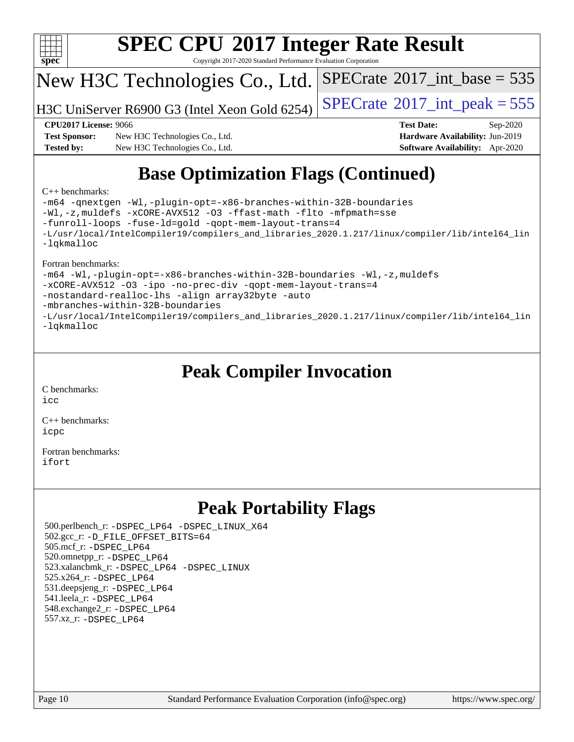

Copyright 2017-2020 Standard Performance Evaluation Corporation

## New H3C Technologies Co., Ltd.

H3C UniServer R6900 G3 (Intel Xeon Gold 6254)  $\vert$  [SPECrate](http://www.spec.org/auto/cpu2017/Docs/result-fields.html#SPECrate2017intpeak)®[2017\\_int\\_peak = 5](http://www.spec.org/auto/cpu2017/Docs/result-fields.html#SPECrate2017intpeak)55

 $SPECTate$ <sup>®</sup>[2017\\_int\\_base =](http://www.spec.org/auto/cpu2017/Docs/result-fields.html#SPECrate2017intbase) 535

**[Test Sponsor:](http://www.spec.org/auto/cpu2017/Docs/result-fields.html#TestSponsor)** New H3C Technologies Co., Ltd. **[Hardware Availability:](http://www.spec.org/auto/cpu2017/Docs/result-fields.html#HardwareAvailability)** Jun-2019 **[Tested by:](http://www.spec.org/auto/cpu2017/Docs/result-fields.html#Testedby)** New H3C Technologies Co., Ltd. **[Software Availability:](http://www.spec.org/auto/cpu2017/Docs/result-fields.html#SoftwareAvailability)** Apr-2020

**[CPU2017 License:](http://www.spec.org/auto/cpu2017/Docs/result-fields.html#CPU2017License)** 9066 **[Test Date:](http://www.spec.org/auto/cpu2017/Docs/result-fields.html#TestDate)** Sep-2020

## **[Base Optimization Flags \(Continued\)](http://www.spec.org/auto/cpu2017/Docs/result-fields.html#BaseOptimizationFlags)**

#### [C++ benchmarks:](http://www.spec.org/auto/cpu2017/Docs/result-fields.html#CXXbenchmarks)

[-m64](http://www.spec.org/cpu2017/results/res2020q4/cpu2017-20200927-24042.flags.html#user_CXXbase_m64-icc) [-qnextgen](http://www.spec.org/cpu2017/results/res2020q4/cpu2017-20200927-24042.flags.html#user_CXXbase_f-qnextgen) [-Wl,-plugin-opt=-x86-branches-within-32B-boundaries](http://www.spec.org/cpu2017/results/res2020q4/cpu2017-20200927-24042.flags.html#user_CXXbase_f-x86-branches-within-32B-boundaries_0098b4e4317ae60947b7b728078a624952a08ac37a3c797dfb4ffeb399e0c61a9dd0f2f44ce917e9361fb9076ccb15e7824594512dd315205382d84209e912f3) [-Wl,-z,muldefs](http://www.spec.org/cpu2017/results/res2020q4/cpu2017-20200927-24042.flags.html#user_CXXbase_link_force_multiple1_b4cbdb97b34bdee9ceefcfe54f4c8ea74255f0b02a4b23e853cdb0e18eb4525ac79b5a88067c842dd0ee6996c24547a27a4b99331201badda8798ef8a743f577) [-xCORE-AVX512](http://www.spec.org/cpu2017/results/res2020q4/cpu2017-20200927-24042.flags.html#user_CXXbase_f-xCORE-AVX512) [-O3](http://www.spec.org/cpu2017/results/res2020q4/cpu2017-20200927-24042.flags.html#user_CXXbase_f-O3) [-ffast-math](http://www.spec.org/cpu2017/results/res2020q4/cpu2017-20200927-24042.flags.html#user_CXXbase_f-ffast-math) [-flto](http://www.spec.org/cpu2017/results/res2020q4/cpu2017-20200927-24042.flags.html#user_CXXbase_f-flto) [-mfpmath=sse](http://www.spec.org/cpu2017/results/res2020q4/cpu2017-20200927-24042.flags.html#user_CXXbase_f-mfpmath_70eb8fac26bde974f8ab713bc9086c5621c0b8d2f6c86f38af0bd7062540daf19db5f3a066d8c6684be05d84c9b6322eb3b5be6619d967835195b93d6c02afa1) [-funroll-loops](http://www.spec.org/cpu2017/results/res2020q4/cpu2017-20200927-24042.flags.html#user_CXXbase_f-funroll-loops) [-fuse-ld=gold](http://www.spec.org/cpu2017/results/res2020q4/cpu2017-20200927-24042.flags.html#user_CXXbase_f-fuse-ld_920b3586e2b8c6e0748b9c84fa9b744736ba725a32cab14ad8f3d4ad28eecb2f59d1144823d2e17006539a88734fe1fc08fc3035f7676166309105a78aaabc32) [-qopt-mem-layout-trans=4](http://www.spec.org/cpu2017/results/res2020q4/cpu2017-20200927-24042.flags.html#user_CXXbase_f-qopt-mem-layout-trans_fa39e755916c150a61361b7846f310bcdf6f04e385ef281cadf3647acec3f0ae266d1a1d22d972a7087a248fd4e6ca390a3634700869573d231a252c784941a8) [-L/usr/local/IntelCompiler19/compilers\\_and\\_libraries\\_2020.1.217/linux/compiler/lib/intel64\\_lin](http://www.spec.org/cpu2017/results/res2020q4/cpu2017-20200927-24042.flags.html#user_CXXbase_linkpath_2cb6f503891ebf8baee7515f4e7d4ec1217444d1d05903cc0091ac4158de400651d2b2313a9fa414cb8a8f0e16ab029634f5c6db340f400369c190d4db8a54a0) [-lqkmalloc](http://www.spec.org/cpu2017/results/res2020q4/cpu2017-20200927-24042.flags.html#user_CXXbase_qkmalloc_link_lib_79a818439969f771c6bc311cfd333c00fc099dad35c030f5aab9dda831713d2015205805422f83de8875488a2991c0a156aaa600e1f9138f8fc37004abc96dc5)

#### [Fortran benchmarks:](http://www.spec.org/auto/cpu2017/Docs/result-fields.html#Fortranbenchmarks)

[-m64](http://www.spec.org/cpu2017/results/res2020q4/cpu2017-20200927-24042.flags.html#user_FCbase_m64-icc) [-Wl,-plugin-opt=-x86-branches-within-32B-boundaries](http://www.spec.org/cpu2017/results/res2020q4/cpu2017-20200927-24042.flags.html#user_FCbase_f-x86-branches-within-32B-boundaries_0098b4e4317ae60947b7b728078a624952a08ac37a3c797dfb4ffeb399e0c61a9dd0f2f44ce917e9361fb9076ccb15e7824594512dd315205382d84209e912f3) [-Wl,-z,muldefs](http://www.spec.org/cpu2017/results/res2020q4/cpu2017-20200927-24042.flags.html#user_FCbase_link_force_multiple1_b4cbdb97b34bdee9ceefcfe54f4c8ea74255f0b02a4b23e853cdb0e18eb4525ac79b5a88067c842dd0ee6996c24547a27a4b99331201badda8798ef8a743f577) [-xCORE-AVX512](http://www.spec.org/cpu2017/results/res2020q4/cpu2017-20200927-24042.flags.html#user_FCbase_f-xCORE-AVX512) [-O3](http://www.spec.org/cpu2017/results/res2020q4/cpu2017-20200927-24042.flags.html#user_FCbase_f-O3) [-ipo](http://www.spec.org/cpu2017/results/res2020q4/cpu2017-20200927-24042.flags.html#user_FCbase_f-ipo) [-no-prec-div](http://www.spec.org/cpu2017/results/res2020q4/cpu2017-20200927-24042.flags.html#user_FCbase_f-no-prec-div) [-qopt-mem-layout-trans=4](http://www.spec.org/cpu2017/results/res2020q4/cpu2017-20200927-24042.flags.html#user_FCbase_f-qopt-mem-layout-trans_fa39e755916c150a61361b7846f310bcdf6f04e385ef281cadf3647acec3f0ae266d1a1d22d972a7087a248fd4e6ca390a3634700869573d231a252c784941a8) [-nostandard-realloc-lhs](http://www.spec.org/cpu2017/results/res2020q4/cpu2017-20200927-24042.flags.html#user_FCbase_f_2003_std_realloc_82b4557e90729c0f113870c07e44d33d6f5a304b4f63d4c15d2d0f1fab99f5daaed73bdb9275d9ae411527f28b936061aa8b9c8f2d63842963b95c9dd6426b8a) [-align array32byte](http://www.spec.org/cpu2017/results/res2020q4/cpu2017-20200927-24042.flags.html#user_FCbase_align_array32byte_b982fe038af199962ba9a80c053b8342c548c85b40b8e86eb3cc33dee0d7986a4af373ac2d51c3f7cf710a18d62fdce2948f201cd044323541f22fc0fffc51b6) [-auto](http://www.spec.org/cpu2017/results/res2020q4/cpu2017-20200927-24042.flags.html#user_FCbase_f-auto) [-mbranches-within-32B-boundaries](http://www.spec.org/cpu2017/results/res2020q4/cpu2017-20200927-24042.flags.html#user_FCbase_f-mbranches-within-32B-boundaries) [-L/usr/local/IntelCompiler19/compilers\\_and\\_libraries\\_2020.1.217/linux/compiler/lib/intel64\\_lin](http://www.spec.org/cpu2017/results/res2020q4/cpu2017-20200927-24042.flags.html#user_FCbase_linkpath_2cb6f503891ebf8baee7515f4e7d4ec1217444d1d05903cc0091ac4158de400651d2b2313a9fa414cb8a8f0e16ab029634f5c6db340f400369c190d4db8a54a0) [-lqkmalloc](http://www.spec.org/cpu2017/results/res2020q4/cpu2017-20200927-24042.flags.html#user_FCbase_qkmalloc_link_lib_79a818439969f771c6bc311cfd333c00fc099dad35c030f5aab9dda831713d2015205805422f83de8875488a2991c0a156aaa600e1f9138f8fc37004abc96dc5)

## **[Peak Compiler Invocation](http://www.spec.org/auto/cpu2017/Docs/result-fields.html#PeakCompilerInvocation)**

[C benchmarks](http://www.spec.org/auto/cpu2017/Docs/result-fields.html#Cbenchmarks): [icc](http://www.spec.org/cpu2017/results/res2020q4/cpu2017-20200927-24042.flags.html#user_CCpeak_intel_icc_66fc1ee009f7361af1fbd72ca7dcefbb700085f36577c54f309893dd4ec40d12360134090235512931783d35fd58c0460139e722d5067c5574d8eaf2b3e37e92)

[C++ benchmarks:](http://www.spec.org/auto/cpu2017/Docs/result-fields.html#CXXbenchmarks) [icpc](http://www.spec.org/cpu2017/results/res2020q4/cpu2017-20200927-24042.flags.html#user_CXXpeak_intel_icpc_c510b6838c7f56d33e37e94d029a35b4a7bccf4766a728ee175e80a419847e808290a9b78be685c44ab727ea267ec2f070ec5dc83b407c0218cded6866a35d07)

[Fortran benchmarks](http://www.spec.org/auto/cpu2017/Docs/result-fields.html#Fortranbenchmarks): [ifort](http://www.spec.org/cpu2017/results/res2020q4/cpu2017-20200927-24042.flags.html#user_FCpeak_intel_ifort_8111460550e3ca792625aed983ce982f94888b8b503583aa7ba2b8303487b4d8a21a13e7191a45c5fd58ff318f48f9492884d4413fa793fd88dd292cad7027ca)

## **[Peak Portability Flags](http://www.spec.org/auto/cpu2017/Docs/result-fields.html#PeakPortabilityFlags)**

 500.perlbench\_r: [-DSPEC\\_LP64](http://www.spec.org/cpu2017/results/res2020q4/cpu2017-20200927-24042.flags.html#b500.perlbench_r_peakPORTABILITY_DSPEC_LP64) [-DSPEC\\_LINUX\\_X64](http://www.spec.org/cpu2017/results/res2020q4/cpu2017-20200927-24042.flags.html#b500.perlbench_r_peakCPORTABILITY_DSPEC_LINUX_X64) 502.gcc\_r: [-D\\_FILE\\_OFFSET\\_BITS=64](http://www.spec.org/cpu2017/results/res2020q4/cpu2017-20200927-24042.flags.html#user_peakPORTABILITY502_gcc_r_file_offset_bits_64_5ae949a99b284ddf4e95728d47cb0843d81b2eb0e18bdfe74bbf0f61d0b064f4bda2f10ea5eb90e1dcab0e84dbc592acfc5018bc955c18609f94ddb8d550002c) 505.mcf\_r: [-DSPEC\\_LP64](http://www.spec.org/cpu2017/results/res2020q4/cpu2017-20200927-24042.flags.html#suite_peakPORTABILITY505_mcf_r_DSPEC_LP64) 520.omnetpp\_r: [-DSPEC\\_LP64](http://www.spec.org/cpu2017/results/res2020q4/cpu2017-20200927-24042.flags.html#suite_peakPORTABILITY520_omnetpp_r_DSPEC_LP64) 523.xalancbmk\_r: [-DSPEC\\_LP64](http://www.spec.org/cpu2017/results/res2020q4/cpu2017-20200927-24042.flags.html#suite_peakPORTABILITY523_xalancbmk_r_DSPEC_LP64) [-DSPEC\\_LINUX](http://www.spec.org/cpu2017/results/res2020q4/cpu2017-20200927-24042.flags.html#b523.xalancbmk_r_peakCXXPORTABILITY_DSPEC_LINUX) 525.x264\_r: [-DSPEC\\_LP64](http://www.spec.org/cpu2017/results/res2020q4/cpu2017-20200927-24042.flags.html#suite_peakPORTABILITY525_x264_r_DSPEC_LP64) 531.deepsjeng\_r: [-DSPEC\\_LP64](http://www.spec.org/cpu2017/results/res2020q4/cpu2017-20200927-24042.flags.html#suite_peakPORTABILITY531_deepsjeng_r_DSPEC_LP64) 541.leela\_r: [-DSPEC\\_LP64](http://www.spec.org/cpu2017/results/res2020q4/cpu2017-20200927-24042.flags.html#suite_peakPORTABILITY541_leela_r_DSPEC_LP64) 548.exchange2\_r: [-DSPEC\\_LP64](http://www.spec.org/cpu2017/results/res2020q4/cpu2017-20200927-24042.flags.html#suite_peakPORTABILITY548_exchange2_r_DSPEC_LP64) 557.xz\_r: [-DSPEC\\_LP64](http://www.spec.org/cpu2017/results/res2020q4/cpu2017-20200927-24042.flags.html#suite_peakPORTABILITY557_xz_r_DSPEC_LP64)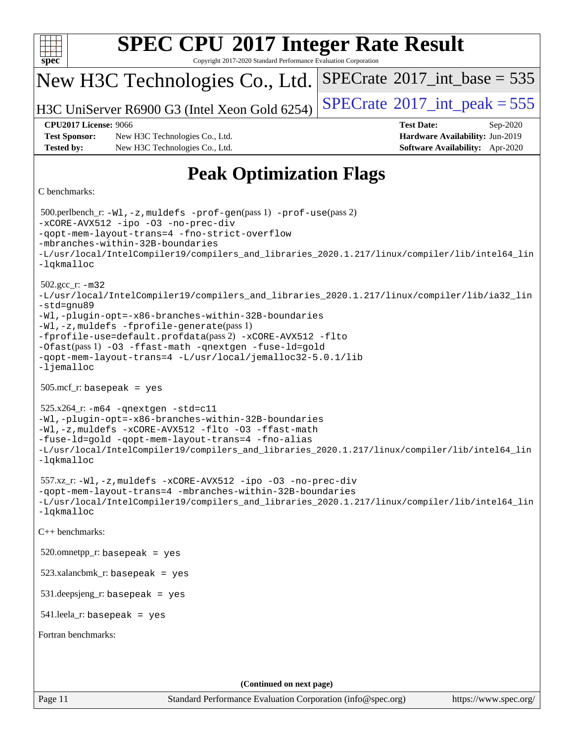| <b>SPEC CPU®2017 Integer Rate Result</b><br>spec <sup>®</sup><br>Copyright 2017-2020 Standard Performance Evaluation Corporation                                                                                                                                                                                                                                                                                                              |                                                                                                     |  |  |  |  |
|-----------------------------------------------------------------------------------------------------------------------------------------------------------------------------------------------------------------------------------------------------------------------------------------------------------------------------------------------------------------------------------------------------------------------------------------------|-----------------------------------------------------------------------------------------------------|--|--|--|--|
| New H3C Technologies Co., Ltd.                                                                                                                                                                                                                                                                                                                                                                                                                | $SPECrate^{\circ}2017\_int\_base = 535$                                                             |  |  |  |  |
| H3C UniServer R6900 G3 (Intel Xeon Gold 6254)                                                                                                                                                                                                                                                                                                                                                                                                 | $SPECTate$ <sup>®</sup> 2017_int_peak = 555                                                         |  |  |  |  |
| <b>CPU2017 License: 9066</b><br><b>Test Sponsor:</b><br>New H3C Technologies Co., Ltd.<br><b>Tested by:</b><br>New H3C Technologies Co., Ltd.                                                                                                                                                                                                                                                                                                 | <b>Test Date:</b><br>Sep-2020<br>Hardware Availability: Jun-2019<br>Software Availability: Apr-2020 |  |  |  |  |
| <b>Peak Optimization Flags</b>                                                                                                                                                                                                                                                                                                                                                                                                                |                                                                                                     |  |  |  |  |
| C benchmarks:                                                                                                                                                                                                                                                                                                                                                                                                                                 |                                                                                                     |  |  |  |  |
| 500.perlbench_r: -Wl, -z, muldefs -prof-gen(pass 1) -prof-use(pass 2)<br>-xCORE-AVX512 -ipo -03 -no-prec-div<br>-gopt-mem-layout-trans=4 -fno-strict-overflow<br>-mbranches-within-32B-boundaries<br>-L/usr/local/IntelCompiler19/compilers_and_libraries_2020.1.217/linux/compiler/lib/intel64_lin<br>$-lq$ kmalloc                                                                                                                          |                                                                                                     |  |  |  |  |
| $502.gcc_r$ : $-m32$<br>-L/usr/local/IntelCompiler19/compilers_and_libraries_2020.1.217/linux/compiler/lib/ia32_lin<br>-std=gnu89<br>-Wl,-plugin-opt=-x86-branches-within-32B-boundaries<br>-Wl,-z, muldefs -fprofile-generate(pass 1)<br>-fprofile-use=default.profdata(pass 2) -xCORE-AVX512 -flto<br>-Ofast(pass 1) -03 -ffast-math -qnextgen -fuse-ld=gold<br>-qopt-mem-layout-trans=4 -L/usr/local/jemalloc32-5.0.1/lib<br>$-lj$ emalloc |                                                                                                     |  |  |  |  |
| $505.\text{mcf}_r$ : basepeak = yes                                                                                                                                                                                                                                                                                                                                                                                                           |                                                                                                     |  |  |  |  |
| $525.x264$ _r: $-m64$ -qnextgen -std=c11<br>-Wl,-plugin-opt=-x86-branches-within-32B-boundaries<br>-Wl,-z, muldefs -xCORE-AVX512 -flto -03 -ffast-math<br>-fuse-ld=gold -qopt-mem-layout-trans=4 -fno-alias<br>-L/usr/local/IntelCompiler19/compilers_and_libraries_2020.1.217/linux/compiler/lib/intel64_lin<br>-lqkmalloc                                                                                                                   |                                                                                                     |  |  |  |  |
| 557.xz_r:-Wl,-z, muldefs -xCORE-AVX512 -ipo -03 -no-prec-div<br>-qopt-mem-layout-trans=4 -mbranches-within-32B-boundaries<br>-L/usr/local/IntelCompiler19/compilers_and_libraries_2020.1.217/linux/compiler/lib/intel64_lin<br>$-lq$ kmalloc                                                                                                                                                                                                  |                                                                                                     |  |  |  |  |
| C++ benchmarks:                                                                                                                                                                                                                                                                                                                                                                                                                               |                                                                                                     |  |  |  |  |
| $520.$ omnetpp_r: basepeak = yes                                                                                                                                                                                                                                                                                                                                                                                                              |                                                                                                     |  |  |  |  |
| $523.xalanchmk_r: basepeak = yes$                                                                                                                                                                                                                                                                                                                                                                                                             |                                                                                                     |  |  |  |  |
| $531.\text{deepsjeng_r: basepeak} = \text{yes}$                                                                                                                                                                                                                                                                                                                                                                                               |                                                                                                     |  |  |  |  |
| $541$ leela_r: basepeak = yes                                                                                                                                                                                                                                                                                                                                                                                                                 |                                                                                                     |  |  |  |  |
| Fortran benchmarks:                                                                                                                                                                                                                                                                                                                                                                                                                           |                                                                                                     |  |  |  |  |
|                                                                                                                                                                                                                                                                                                                                                                                                                                               |                                                                                                     |  |  |  |  |
| (Continued on next page)                                                                                                                                                                                                                                                                                                                                                                                                                      |                                                                                                     |  |  |  |  |
| Page 11<br>Standard Performance Evaluation Corporation (info@spec.org)                                                                                                                                                                                                                                                                                                                                                                        | https://www.spec.org/                                                                               |  |  |  |  |